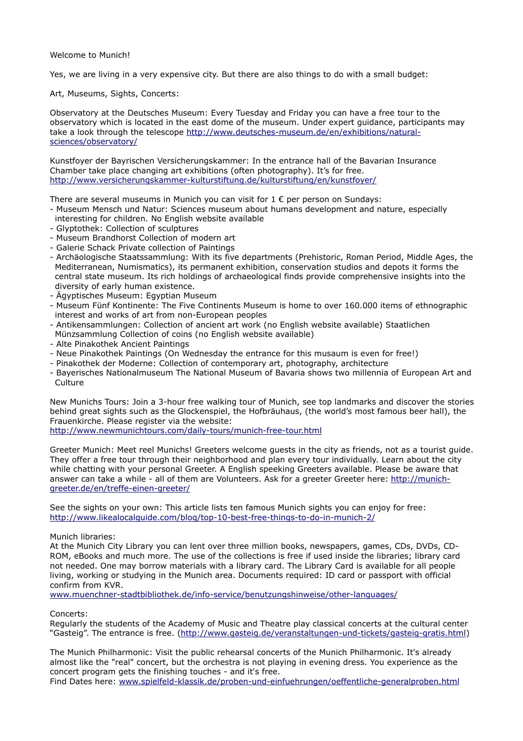Welcome to Munich!

Yes, we are living in a very expensive city. But there are also things to do with a small budget:

Art, Museums, Sights, Concerts:

Observatory at the Deutsches Museum: Every Tuesday and Friday you can have a free tour to the observatory which is located in the east dome of the museum. Under expert guidance, participants may take a look through the telescope [http://www.deutsches-museum.de/en/exhibitions/natural](http://www.deutsches-museum.de/en/exhibitions/natural-sciences/observatory/)[sciences/observatory/](http://www.deutsches-museum.de/en/exhibitions/natural-sciences/observatory/)

Kunstfoyer der Bayrischen Versicherungskammer: In the entrance hall of the Bavarian Insurance Chamber take place changing art exhibitions (often photography). It's for free. <http://www.versicherungskammer-kulturstiftung.de/kulturstiftung/en/kunstfoyer/>

There are several museums in Munich you can visit for  $1 \in \mathsf{per}$  per person on Sundays:

- Museum Mensch und Natur: Sciences museum about humans development and nature, especially interesting for children. No English website available
- Glyptothek: Collection of sculptures
- Museum Brandhorst Collection of modern art
- Galerie Schack Private collection of Paintings
- Archäologische Staatssammlung: With its five departments (Prehistoric, Roman Period, Middle Ages, the Mediterranean, Numismatics), its permanent exhibition, conservation studios and depots it forms the central state museum. Its rich holdings of archaeological finds provide comprehensive insights into the diversity of early human existence.
- Ägyptisches Museum: Egyptian Museum
- Museum Fünf Kontinente: The Five Continents Museum is home to over 160.000 items of ethnographic interest and works of art from non-European peoples
- Antikensammlungen: Collection of ancient art work (no English website available) Staatlichen Münzsammlung Collection of coins (no English website available)
- Alte Pinakothek Ancient Paintings
- Neue Pinakothek Paintings (On Wednesday the entrance for this musaum is even for free!)
- Pinakothek der Moderne: Collection of contemporary art, photography, architecture
- Bayerisches Nationalmuseum The National Museum of Bavaria shows two millennia of European Art and Culture

New Munichs Tours: Join a 3-hour free walking tour of Munich, see top landmarks and discover the stories behind great sights such as the Glockenspiel, the Hofbräuhaus, (the world's most famous beer hall), the Frauenkirche. Please register via the website:

<http://www.newmunichtours.com/daily-tours/munich-free-tour.html>

Greeter Munich: Meet reel Munichs! Greeters welcome guests in the city as friends, not as a tourist guide. They offer a free tour through their neighborhood and plan every tour individually. Learn about the city while chatting with your personal Greeter. A English speeking Greeters available. Please be aware that answer can take a while - all of them are Volunteers. Ask for a greeter Greeter here: [http://munich](http://munich-greeter.de/en/treffe-einen-greeter/)[greeter.de/en/treffe-einen-greeter/](http://munich-greeter.de/en/treffe-einen-greeter/) 

See the sights on your own: This article lists ten famous Munich sights you can enjoy for free: <http://www.likealocalguide.com/blog/top-10-best-free-things-to-do-in-munich-2/>

## Munich libraries:

At the Munich City Library you can lent over three million books, newspapers, games, CDs, DVDs, CD-ROM, eBooks and much more. The use of the collections is free if used inside the libraries; library card not needed. One may borrow materials with a library card. The Library Card is available for all people living, working or studying in the Munich area. Documents required: ID card or passport with official confirm from KVR.

[www.muenchner-stadtbibliothek.de/info-service/benutzungshinweise/other-languages/](http://www.muenchner-stadtbibliothek.de/info-service/benutzungshinweise/other-languages/) 

Concerts:

Regularly the students of the Academy of Music and Theatre play classical concerts at the cultural center "Gasteig". The entrance is free. [\(http://www.gasteig.de/veranstaltungen-und-tickets/gasteig-gratis.html\)](http://www.gasteig.de/veranstaltungen-und-tickets/gasteig-gratis.html)

The Munich Philharmonic: Visit the public rehearsal concerts of the Munich Philharmonic. It's already almost like the "real" concert, but the orchestra is not playing in evening dress. You experience as the concert program gets the finishing touches - and it's free.

Find Dates here: [www.spielfeld-klassik.de/proben-und-einfuehrungen/oeffentliche-generalproben.html](http://www.spielfeld-klassik.de/proben-und-einfuehrungen/oeffentliche-generalproben.html)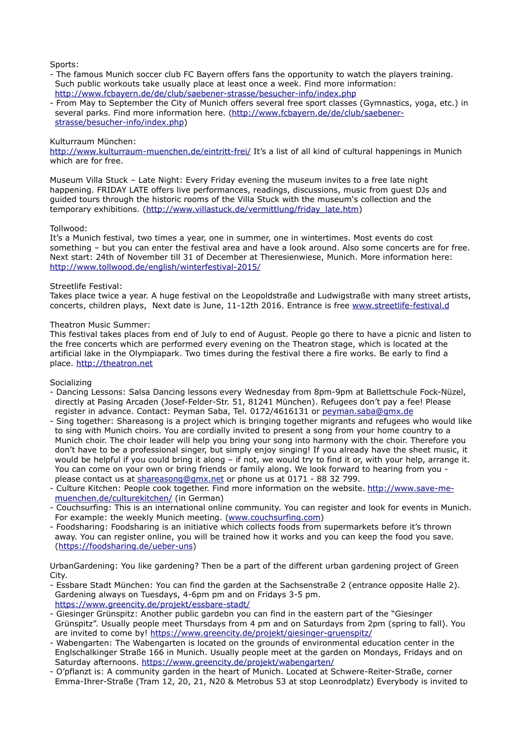Sports:

- The famous Munich soccer club FC Bayern offers fans the opportunity to watch the players training. Such public workouts take usually place at least once a week. Find more information: <http://www.fcbayern.de/de/club/saebener-strasse/besucher-info/index.php>
- From May to September the City of Munich offers several free sport classes (Gymnastics, yoga, etc.) in several parks. Find more information here. [\(http://www.fcbayern.de/de/club/saebener](http://www.fcbayern.de/de/club/saebener-strasse/besucher-info/index.php)[strasse/besucher-info/index.php\)](http://www.fcbayern.de/de/club/saebener-strasse/besucher-info/index.php)

## Kulturraum München:

<http://www.kulturraum-muenchen.de/eintritt-frei/>It's a list of all kind of cultural happenings in Munich which are for free.

Museum Villa Stuck – Late Night: Every Friday evening the museum invites to a free late night happening. FRIDAY LATE offers live performances, readings, discussions, music from guest DJs and guided tours through the historic rooms of the Villa Stuck with the museum's collection and the temporary exhibitions. [\(http://www.villastuck.de/vermittlung/friday\\_late.htm\)](http://www.villastuck.de/vermittlung/friday_late.htm)

## Tollwood:

It's a Munich festival, two times a year, one in summer, one in wintertimes. Most events do cost something – but you can enter the festival area and have a look around. Also some concerts are for free. Next start: 24th of November till 31 of December at Theresienwiese, Munich. More information here: <http://www.tollwood.de/english/winterfestival-2015/>

## Streetlife Festival:

Takes place twice a year. A huge festival on the Leopoldstraße and Ludwigstraße with many street artists, concerts, children plays, Next date is June, 11-12th 2016. Entrance is free [www.streetlife-festival.d](http://www.streetlife-festival.de/)

#### Theatron Music Summer:

This festival takes places from end of July to end of August. People go there to have a picnic and listen to the free concerts which are performed every evening on the Theatron stage, which is located at the artificial lake in the Olympiapark. Two times during the festival there a fire works. Be early to find a place. [http://theatron.net](http://theatron.net/) 

## **Socializing**

- Dancing Lessons: Salsa Dancing lessons every Wednesday from 8pm-9pm at Ballettschule Fock-Nüzel, directly at Pasing Arcaden (Josef-Felder-Str. 51, 81241 München). Refugees don't pay a fee! Please register in advance. Contact: Peyman Saba, Tel. 0172/4616131 or [peyman.saba@gmx.de](mailto:peyman.saba@gmx.de)
- Sing together: Shareasong is a project which is bringing together migrants and refugees who would like to sing with Munich choirs. You are cordially invited to present a song from your home country to a Munich choir. The choir leader will help you bring your song into harmony with the choir. Therefore you don't have to be a professional singer, but simply enjoy singing! If you already have the sheet music, it would be helpful if you could bring it along – if not, we would try to find it or, with your help, arrange it. You can come on your own or bring friends or family along. We look forward to hearing from you please contact us at [shareasong@gmx.net](mailto:shareasong@gmx.net) or phone us at 0171 - 88 32 799.
- Culture Kitchen: People cook together. Find more information on the website. [http://www.save-me](http://www.save-me-muenchen.de/culturekitchen/)[muenchen.de/culturekitchen/](http://www.save-me-muenchen.de/culturekitchen/) (in German)
- Couchsurfing: This is an international online community. You can register and look for events in Munich. For example: the weekly Munich meeting. [\(www.couchsurfing.com\)](http://www.couchsurfing.com/)
- Foodsharing: Foodsharing is an initiative which collects foods from supermarkets before it's thrown away. You can register online, you will be trained how it works and you can keep the food you save. [\(https://foodsharing.de/ueber-uns\)](https://foodsharing.de/ueber-uns)

UrbanGardening: You like gardening? Then be a part of the different urban gardening project of Green City.

- Essbare Stadt München: You can find the garden at the Sachsenstraße 2 (entrance opposite Halle 2). Gardening always on Tuesdays, 4-6pm pm and on Fridays 3-5 pm. <https://www.greencity.de/projekt/essbare-stadt/>
- Giesinger Grünspitz: Another public gardebn you can find in the eastern part of the "Giesinger Grünspitz". Usually people meet Thursdays from 4 pm and on Saturdays from 2pm (spring to fall). You are invited to come by! https://www.greencity.de/projekt/giesinger-gruenspitz/
- Wabengarten: The Wabengarten is located on the grounds of environmental education center in the Englschalkinger Straße 166 in Munich. Usually people meet at the garden on Mondays, Fridays and on Saturday afternoons.<https://www.greencity.de/projekt/wabengarten/>
- O'pflanzt is: A community garden in the heart of Munich. Located at Schwere-Reiter-Straße, corner Emma-Ihrer-Straße (Tram 12, 20, 21, N20 & Metrobus 53 at stop Leonrodplatz) Everybody is invited to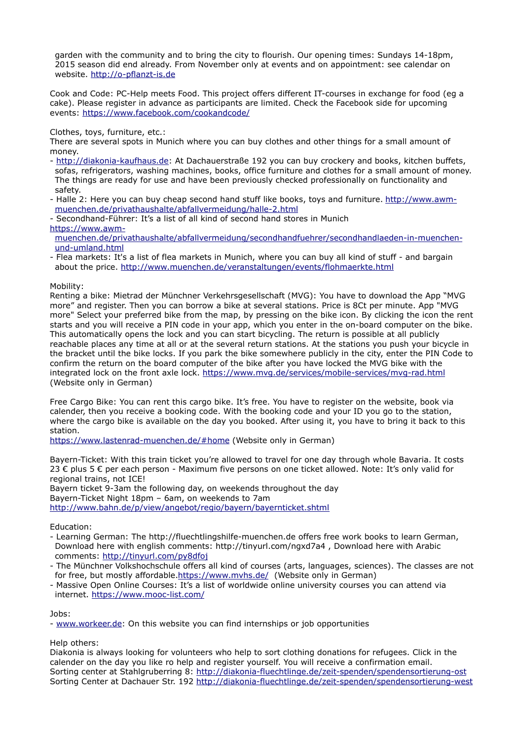garden with the community and to bring the city to flourish. Our opening times: Sundays 14-18pm. 2015 season did end already. From November only at events and on appointment: see calendar on website. [http://o-pflanzt-is.de](http://o-pflanzt-is.de/)

Cook and Code: PC-Help meets Food. This project offers different IT-courses in exchange for food (eg a cake). Please register in advance as participants are limited. Check the Facebook side for upcoming events:<https://www.facebook.com/cookandcode/>

Clothes, toys, furniture, etc.:

There are several spots in Munich where you can buy clothes and other things for a small amount of money.

- - [http://diakonia-kaufhaus.de:](http://diakonia-kaufhaus.de/) At Dachauerstraße 192 you can buy crockery and books, kitchen buffets, sofas, refrigerators, washing machines, books, office furniture and clothes for a small amount of money. The things are ready for use and have been previously checked professionally on functionality and safety.
- Halle 2: Here you can buy cheap second hand stuff like books, toys and furniture. [http://www.awm](http://www.awm-muenchen.de/privathaushalte/abfallvermeidung/halle-2.html)[muenchen.de/privathaushalte/abfallvermeidung/halle-2.html](http://www.awm-muenchen.de/privathaushalte/abfallvermeidung/halle-2.html)
- Secondhand-Führer: It's a list of all kind of second hand stores in Munich [https://www.awm-](https://www.awm-muenchen.de/privathaushalte/abfallvermeidung/secondhandfuehrer/secondhandlaeden-in-muenchen-und-umland.html)

[muenchen.de/privathaushalte/abfallvermeidung/secondhandfuehrer/secondhandlaeden-in-muenchen](https://www.awm-muenchen.de/privathaushalte/abfallvermeidung/secondhandfuehrer/secondhandlaeden-in-muenchen-und-umland.html)[und-umland.html](https://www.awm-muenchen.de/privathaushalte/abfallvermeidung/secondhandfuehrer/secondhandlaeden-in-muenchen-und-umland.html)

- Flea markets: It's a list of flea markets in Munich, where you can buy all kind of stuff - and bargain about the price. http://www.muenchen.de/veranstaltungen/events/flohmaerkte.html

## Mobility:

Renting a bike: Mietrad der Münchner Verkehrsgesellschaft (MVG): You have to download the App "MVG more" and register. Then you can borrow a bike at several stations. Price is 8Ct per minute. App "MVG more" Select your preferred bike from the map, by pressing on the bike icon. By clicking the icon the rent starts and you will receive a PIN code in your app, which you enter in the on-board computer on the bike. This automatically opens the lock and you can start bicycling. The return is possible at all publicly reachable places any time at all or at the several return stations. At the stations you push your bicycle in the bracket until the bike locks. If you park the bike somewhere publicly in the city, enter the PIN Code to confirm the return on the board computer of the bike after you have locked the MVG bike with the integrated lock on the front axle lock.<https://www.mvg.de/services/mobile-services/mvg-rad.html> (Website only in German)

Free Cargo Bike: You can rent this cargo bike. It's free. You have to register on the website, book via calender, then you receive a booking code. With the booking code and your ID you go to the station, where the cargo bike is available on the day you booked. After using it, you have to bring it back to this station.

<https://www.lastenrad-muenchen.de/#home>(Website only in German)

Bayern-Ticket: With this train ticket you're allowed to travel for one day through whole Bavaria. It costs 23 € plus 5 € per each person - Maximum five persons on one ticket allowed. Note: It's only valid for regional trains, not ICE! Bayern ticket 9-3am the following day, on weekends throughout the day

Bayern-Ticket Night 18pm – 6am, on weekends to 7am <http://www.bahn.de/p/view/angebot/regio/bayern/bayernticket.shtml>

# Education:

- Learning German: The http://fluechtlingshilfe-muenchen.de offers free work books to learn German, Download here with english comments: http://tinyurl.com/ngxd7a4 , Download here with Arabic comments:<http://tinyurl.com/py8dfoj>
- The Münchner Volkshochschule offers all kind of courses (arts, languages, sciences). The classes are not for free, but mostly affordable[.https://www.mvhs.de/](https://www.mvhs.de/) (Website only in German)
- Massive Open Online Courses: It's a list of worldwide online university courses you can attend via internet.<https://www.mooc-list.com/>

## Jobs:

- [www.workeer.de:](http://www.workeer.de/) On this website you can find internships or job opportunities

Help others:

Diakonia is always looking for volunteers who help to sort clothing donations for refugees. Click in the calender on the day you like ro help and register yourself. You will receive a confirmation email. Sorting center at Stahlgruberring 8:<http://diakonia-fluechtlinge.de/zeit-spenden/spendensortierung-ost> Sorting Center at Dachauer Str. 192<http://diakonia-fluechtlinge.de/zeit-spenden/spendensortierung-west>